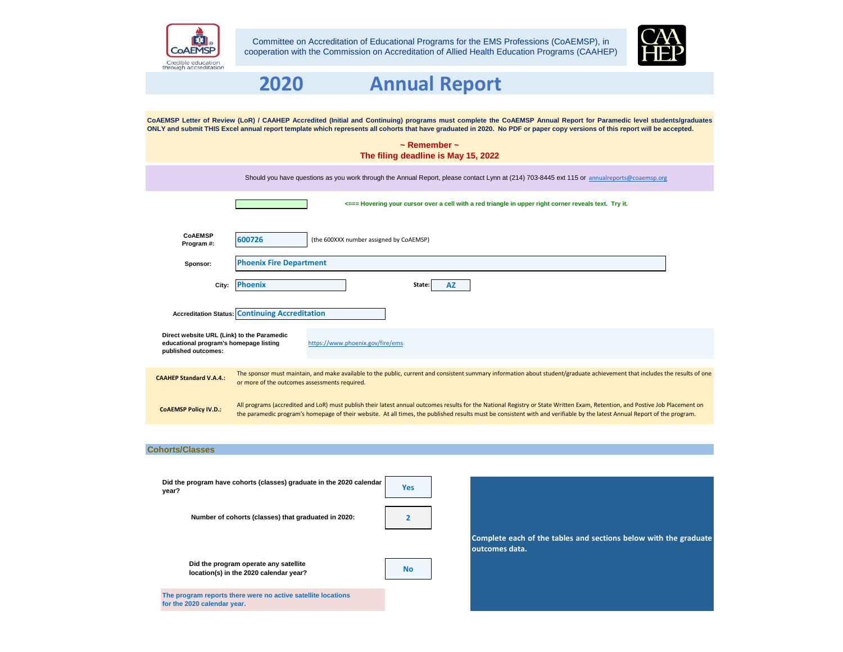

Committee on Accreditation of Educational Programs for the EMS Professions (CoAEMSP), in cooperation with the Commission on Accreditation of Allied Health Education Programs (CAAHEP)



# Credible education<br>through accreditation **2020 Annual Report** CoAEMSP Letter of Review (LoR) / CAAHEP Accredited (Initial and Continuing) programs must complete the CoAEMSP Annual Report for Paramedic level students/graduates **ONLY and submit THIS Excel annual report template which represents all cohorts that have graduated in 2020. No PDF or paper copy versions of this report will be accepted. ~ Remember ~ The filing deadline is May 15, 2022** Should you have questions as you work through the Annual Report, please contact Lynn at (214) 703-8445 ext 115 or [annualreports](mailto:annualreports@coaemsp.org)@coaemsp.org **<=== Hovering your cursor over a cell with a red triangle in upper right corner reveals text. Try it. CoAEMSP Program #:** 600726 (the 600XXX number assigned by CoAEMSP) **Sponsor: Phoenix Fire Department City: AZ Phoenix State: Accreditation Status: Continuing Accreditation Direct website URL (Link) to the Paramedic educational program's homepage listing**  https://www.phoenix.gov/fire/ems **published outcomes:** The sponsor must maintain, and make available to the public, current and consistent summary information about student/graduate achievement that includes the results of one **CAAHEP Standard V.A.4.:** or more of the outcomes assessments required. All programs (accredited and LoR) must publish their latest annual outcomes results for the National Registry or State Written Exam, Retention, and Postive Job Placement on the paramedic program's homepage of their website. At all times, the published results must be consistent with and verifiable by the latest Annual Report of the program. **CoAEMSP Policy IV.D.:**

#### **Cohorts/Classes**

| Did the program have cohorts (classes) graduate in the 2020 calendar<br>year?               | Yes       |                                                                                    |
|---------------------------------------------------------------------------------------------|-----------|------------------------------------------------------------------------------------|
| Number of cohorts (classes) that graduated in 2020:                                         |           |                                                                                    |
| Did the program operate any satellite<br>location(s) in the 2020 calendar year?             | <b>No</b> | Complete each of the tables and sections below with the graduate<br>outcomes data. |
| The program reports there were no active satellite locations<br>for the 2020 calendar year. |           |                                                                                    |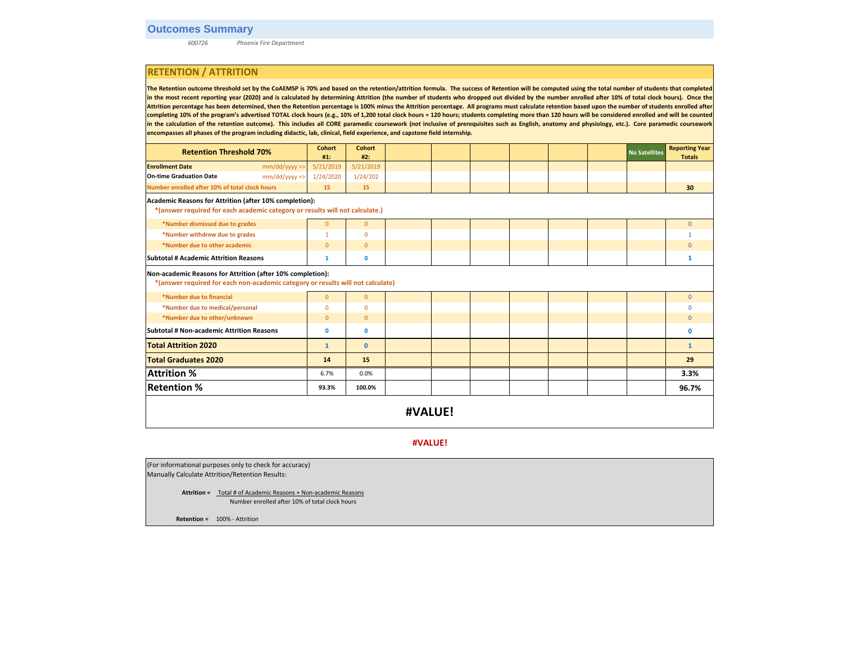*600726 Phoenix Fire Department*

## **RETENTION / ATTRITION**

The Retention outcome threshold set by the CoAEMSP is 70% and based on the retention/attrition formula. The success of Retention will be computed using the total number of students that completed in the most recent reporting year (2020) and is calculated by determining Attrition (the number of students who dropped out divided by the number enrolled after 10% of total clock hours). Once the Attrition percentage has been determined, then the Retention percentage is 100% minus the Attrition percentage. All programs must calculate retention based upon the number of students enrolled after completing 10% of the program's advertised TOTAL clock hours (e.g., 10% of 1,200 total clock hours = 120 hours; students completing more than 120 hours will be considered enrolled and will be counted in the calculation of the retention outcome). This includes all CORE paramedic coursework (not inclusive of prerequisites such as English, anatomy and physiology, etc.). Core paramedic coursework **encompasses all phases of the program including didactic, lab, clinical, field experience, and capstone field internship.**

| <b>Retention Threshold 70%</b>                                                                                                                | <b>Cohort</b><br>#1:                                                                                                                   | <b>Cohort</b><br>#2: |  |  |  |  |  | <b>No Satellites</b> | <b>Reporting Year</b><br><b>Totals</b> |
|-----------------------------------------------------------------------------------------------------------------------------------------------|----------------------------------------------------------------------------------------------------------------------------------------|----------------------|--|--|--|--|--|----------------------|----------------------------------------|
| <b>Enrollment Date</b><br>$mm/dd/yyyy$ =>                                                                                                     | 5/21/2019                                                                                                                              | 5/21/2019            |  |  |  |  |  |                      |                                        |
| <b>On-time Graduation Date</b><br>$mm/dd/yyyy$ =>                                                                                             | 1/24/2020                                                                                                                              | 1/24/202             |  |  |  |  |  |                      |                                        |
| Number enrolled after 10% of total clock hours                                                                                                | 15                                                                                                                                     | 15                   |  |  |  |  |  |                      | 30                                     |
|                                                                                                                                               | Academic Reasons for Attrition (after 10% completion):<br>*(answer required for each academic category or results will not calculate.) |                      |  |  |  |  |  |                      |                                        |
| *Number dismissed due to grades                                                                                                               | $\overline{0}$                                                                                                                         | $\overline{0}$       |  |  |  |  |  |                      | $\mathbf{0}$                           |
| *Number withdrew due to grades                                                                                                                | 1                                                                                                                                      | $\Omega$             |  |  |  |  |  |                      |                                        |
| *Number due to other academic                                                                                                                 | $\overline{0}$                                                                                                                         | $\overline{0}$       |  |  |  |  |  |                      | $\Omega$                               |
| <b>Subtotal # Academic Attrition Reasons</b>                                                                                                  | 1                                                                                                                                      | $\mathbf 0$          |  |  |  |  |  |                      | 1                                      |
| Non-academic Reasons for Attrition (after 10% completion):<br>*(answer required for each non-academic category or results will not calculate) |                                                                                                                                        |                      |  |  |  |  |  |                      |                                        |
| *Number due to financial                                                                                                                      | $\overline{0}$                                                                                                                         | $\mathbf{0}$         |  |  |  |  |  |                      | $\mathbf{0}$                           |
| *Number due to medical/personal                                                                                                               | $\Omega$                                                                                                                               | $\mathbf{0}$         |  |  |  |  |  |                      | $\Omega$                               |
| *Number due to other/unknown                                                                                                                  | $\overline{0}$                                                                                                                         | $\mathbf{0}$         |  |  |  |  |  |                      | $\mathbf{0}$                           |
| <b>Subtotal # Non-academic Attrition Reasons</b>                                                                                              | $\mathbf{0}$                                                                                                                           | $\mathbf{0}$         |  |  |  |  |  |                      | $\mathbf 0$                            |
| <b>Total Attrition 2020</b>                                                                                                                   | $\mathbf{1}$                                                                                                                           | $\mathbf{0}$         |  |  |  |  |  |                      | $\mathbf{1}$                           |
| <b>Total Graduates 2020</b>                                                                                                                   | 14                                                                                                                                     | 15                   |  |  |  |  |  |                      | 29                                     |
| <b>Attrition %</b>                                                                                                                            | 6.7%                                                                                                                                   | 0.0%                 |  |  |  |  |  |                      | 3.3%                                   |
| <b>Retention</b> %                                                                                                                            | 93.3%                                                                                                                                  | 100.0%               |  |  |  |  |  |                      | 96.7%                                  |
| #VALUE!                                                                                                                                       |                                                                                                                                        |                      |  |  |  |  |  |                      |                                        |

## **#VALUE!**

(For informational purposes only to check for accuracy) Manually Calculate Attrition/Retention Results:

> **Attrition =** Total # of Academic Reasons + Non-academic Reasons Number enrolled after 10% of total clock hours

**Retention =** 100% - Attrition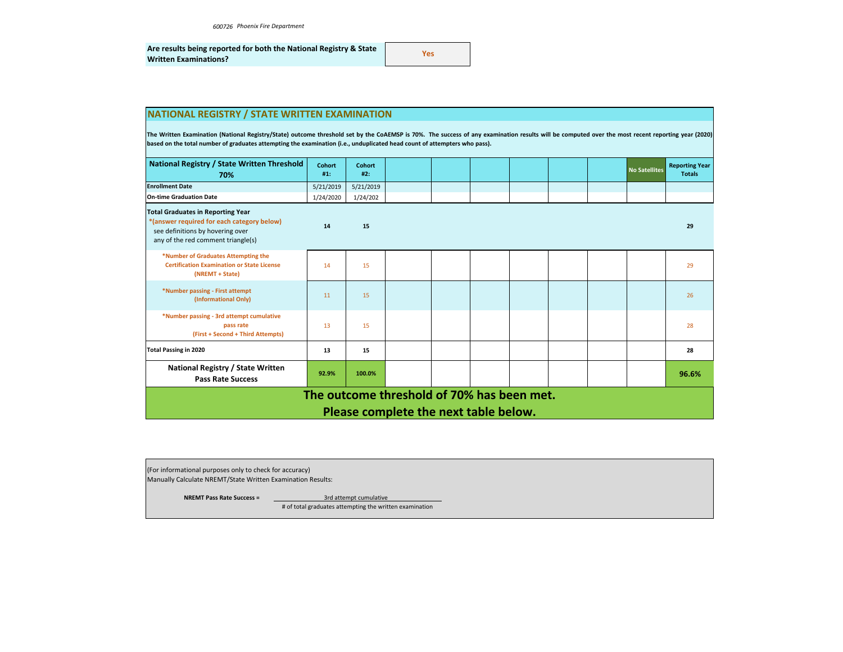| Are results being reported for both the National Registry & State | Yes |
|-------------------------------------------------------------------|-----|
| <b>Written Examinations?</b>                                      |     |

## **NATIONAL REGISTRY / STATE WRITTEN EXAMINATION**

The Written Examination (National Registry/State) outcome threshold set by the CoAEMSP is 70%. The success of any examination results will be computed over the most recent reporting year (2020) **based on the total number of graduates attempting the examination (i.e., unduplicated head count of attempters who pass).**

| National Registry / State Written Threshold<br>70%                                                                                                               | Cohort<br>#1: | Cohort<br>#2: |  |  |  |  | <b>No Satellites</b> | <b>Reporting Year</b><br><b>Totals</b> |
|------------------------------------------------------------------------------------------------------------------------------------------------------------------|---------------|---------------|--|--|--|--|----------------------|----------------------------------------|
| <b>Enrollment Date</b>                                                                                                                                           | 5/21/2019     | 5/21/2019     |  |  |  |  |                      |                                        |
| <b>On-time Graduation Date</b>                                                                                                                                   | 1/24/2020     | 1/24/202      |  |  |  |  |                      |                                        |
| <b>Total Graduates in Reporting Year</b><br>*(answer required for each category below)<br>see definitions by hovering over<br>any of the red comment triangle(s) | 14            | 15            |  |  |  |  |                      | 29                                     |
| *Number of Graduates Attempting the<br><b>Certification Examination or State License</b><br>(NREMT + State)                                                      | 14            | 15            |  |  |  |  |                      | 29                                     |
| *Number passing - First attempt<br>(Informational Only)                                                                                                          | 11            | 15            |  |  |  |  |                      | 26                                     |
| *Number passing - 3rd attempt cumulative<br>pass rate<br>(First + Second + Third Attempts)                                                                       | 13            | 15            |  |  |  |  |                      | 28                                     |
| <b>Total Passing in 2020</b>                                                                                                                                     | 13            | 15            |  |  |  |  |                      | 28                                     |
| National Registry / State Written<br><b>Pass Rate Success</b>                                                                                                    | 92.9%         | 100.0%        |  |  |  |  |                      | 96.6%                                  |
| The outcome threshold of 70% has been met.                                                                                                                       |               |               |  |  |  |  |                      |                                        |
| Please complete the next table below.                                                                                                                            |               |               |  |  |  |  |                      |                                        |

(For informational purposes only to check for accuracy) Manually Calculate NREMT/State Written Examination Results:

**NREMT Pass Rate Success = 120 3rd attempt cumulative** 

# of total graduates attempting the written examination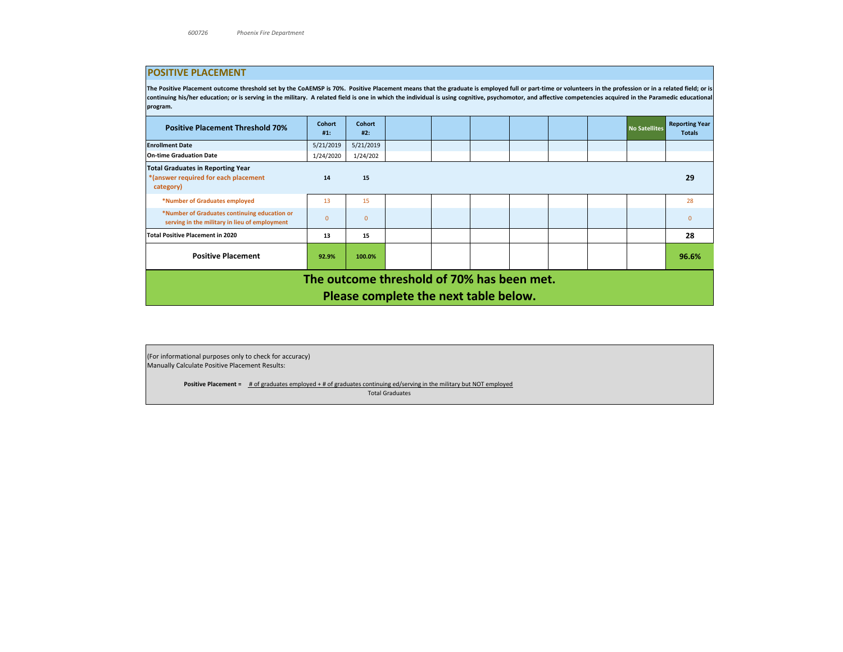## **POSITIVE PLACEMENT**

The Positive Placement outcome threshold set by the CoAEMSP is 70%. Positive Placement means that the graduate is employed full or part-time or volunteers in the profession or in a related field; or is continuing his/her education; or is serving in the military. A related field is one in which the individual is using cognitive, psychomotor, and affective competencies acquired in the Paramedic educational **program.**

| <b>Positive Placement Threshold 70%</b>                                                       | Cohort<br>#1: | Cohort<br>#2: |  |  |  |  |  | No Satellites | <b>Reporting Year</b><br><b>Totals</b> |
|-----------------------------------------------------------------------------------------------|---------------|---------------|--|--|--|--|--|---------------|----------------------------------------|
| <b>Enrollment Date</b>                                                                        | 5/21/2019     | 5/21/2019     |  |  |  |  |  |               |                                        |
| <b>On-time Graduation Date</b>                                                                | 1/24/2020     | 1/24/202      |  |  |  |  |  |               |                                        |
| <b>Total Graduates in Reporting Year</b><br>*(answer required for each placement<br>category) | 14            | 15            |  |  |  |  |  |               | 29                                     |
| *Number of Graduates employed                                                                 | 13            | 15            |  |  |  |  |  |               | 28                                     |
| *Number of Graduates continuing education or<br>serving in the military in lieu of employment | $\Omega$      | $\Omega$      |  |  |  |  |  |               |                                        |
| Total Positive Placement in 2020                                                              | 13            | 15            |  |  |  |  |  |               | 28                                     |
| <b>Positive Placement</b>                                                                     | 92.9%         | 100.0%        |  |  |  |  |  |               | 96.6%                                  |
| The outcome threshold of 70% has been met.<br>Please complete the next table below.           |               |               |  |  |  |  |  |               |                                        |

(For informational purposes only to check for accuracy) Manually Calculate Positive Placement Results:

> **Positive Placement =**  # of graduates employed + # of graduates continuing ed/serving in the military but NOT employed Total Graduates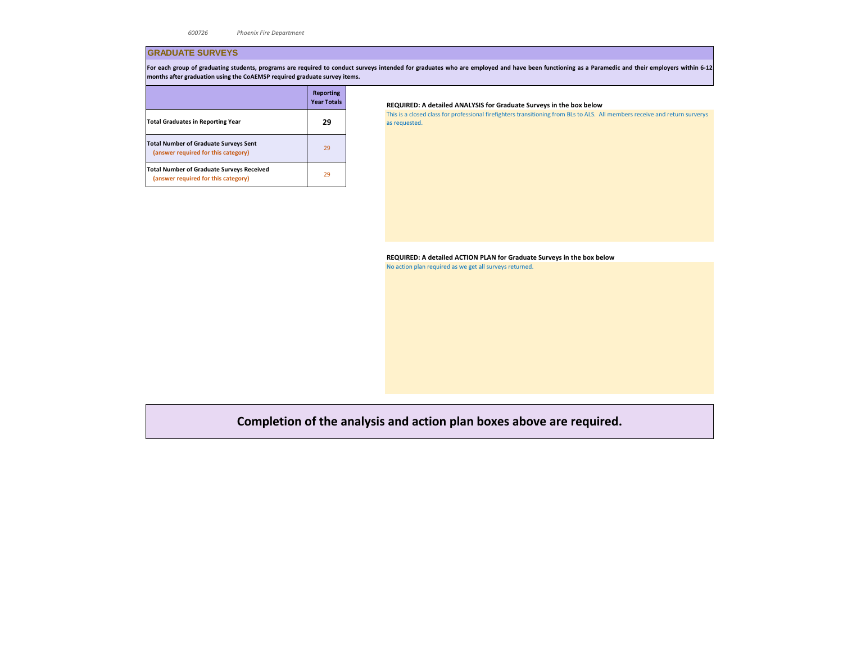## **GRADUATE SURVEYS**

For each group of graduating students, programs are required to conduct surveys intended for graduates who are employed and have been functioning as a Paramedic and their employers within 6-12 **months after graduation using the CoAEMSP required graduate survey items.** 

|                                                                                         | <b>Reporting</b><br><b>Year Totals</b> |
|-----------------------------------------------------------------------------------------|----------------------------------------|
| <b>Total Graduates in Reporting Year</b>                                                | 29                                     |
| <b>Total Number of Graduate Surveys Sent</b><br>(answer required for this category)     | 29                                     |
| <b>Total Number of Graduate Surveys Received</b><br>(answer required for this category) | 29                                     |

#### **Year Totals REQUIRED: A detailed ANALYSIS for Graduate Surveys in the box below**

This is a closed class for professional firefighters transitioning from BLs to ALS. All members receive and return surverys as requested.

**REQUIRED: A detailed ACTION PLAN for Graduate Surveys in the box below**

No action plan required as we get all surveys returned.

**Completion of the analysis and action plan boxes above are required.**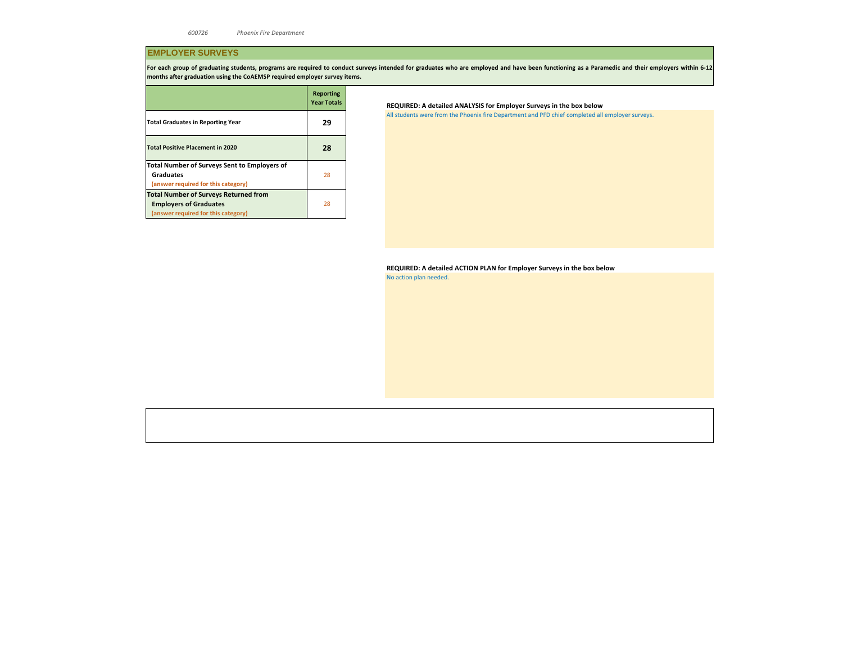## **EMPLOYER SURVEYS**

For each group of graduating students, programs are required to conduct surveys intended for graduates who are employed and have been functioning as a Paramedic and their employers within 6-12 **months after graduation using the CoAEMSP required employer survey items.** 

|                                                                                                                      | <b>Reporting</b><br><b>Year Totals</b> |
|----------------------------------------------------------------------------------------------------------------------|----------------------------------------|
| <b>Total Graduates in Reporting Year</b>                                                                             | 29                                     |
| <b>Total Positive Placement in 2020</b>                                                                              | 28                                     |
| Total Number of Surveys Sent to Employers of<br><b>Graduates</b><br>(answer required for this category)              | 28                                     |
| <b>Total Number of Surveys Returned from</b><br><b>Employers of Graduates</b><br>(answer required for this category) | 28                                     |

## **Year Totals REQUIRED: A detailed ANALYSIS for Employer Surveys in the box below**

All students were from the Phoenix fire Department and PFD chief completed all employer surveys.

## **REQUIRED: A detailed ACTION PLAN for Employer Surveys in the box below**

No action plan needed.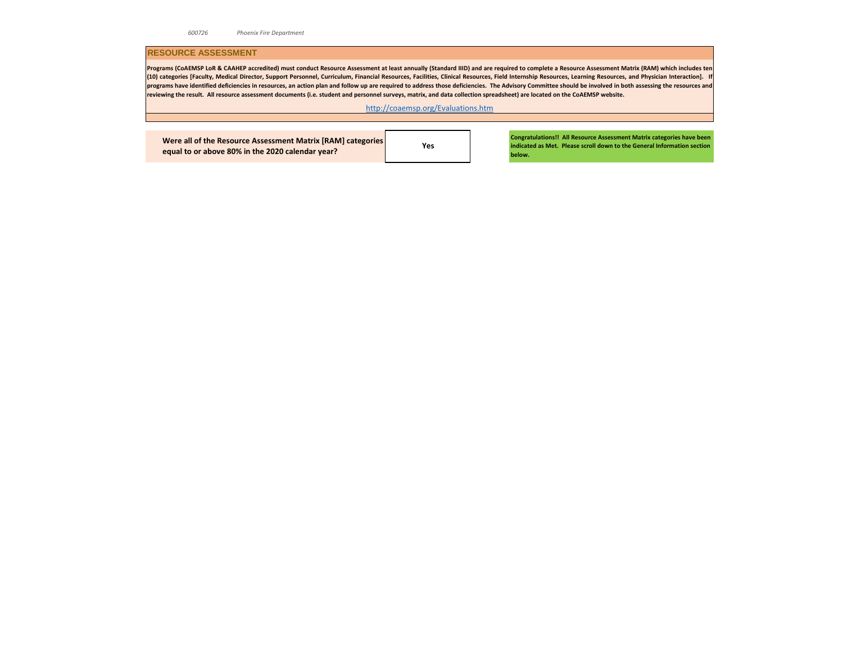#### **RESOURCE ASSESSMENT**

Programs (COAEMSP LoR & CAAHEP accredited) must conduct Resource Assessment at least annually (Standard IIID) and are required to complete a Resource Assessment Matrix (RAM) which includes ten (10) categories [Faculty, Medical Director, Support Personnel, Curriculum, Financial Resources, Facilities, Clinical Resources, Field Internship Resources, Learning Resources, and Physician Interaction]. It programs have identified deficiencies in resources, an action plan and follow up are required to address those deficiencies. The Advisory Committee should be involved in both assessing the resources and **reviewing the result. All resource assessment documents (i.e. student and personnel surveys, matrix, and data collection spreadsheet) are located on the CoAEMSP website.** 

[h](http://coaemsp.org/Evaluations.htm)ttp://coaemsp.org/Evaluations.htm

**Were all of the Resource Assessment Matrix [RAM] categories equal to or above 80% in the 2020 calendar year?**

**Yes**

**Congratulations!! All Resource Assessment Matrix categories have been indicated as Met. Please scroll down to the General Information section below.**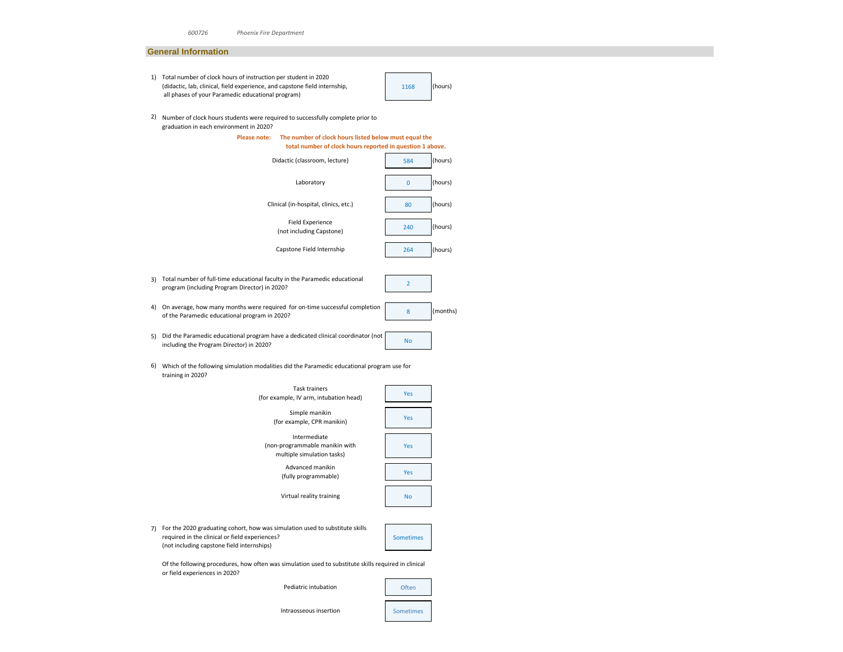#### **General Information**

1) Total number of clock hours of instruction per student in 2020 (didactic, lab, clinical, field experience, and capstone field internship, all phases of your Paramedic educational program)

1168 (hours)

2) Number of clock hours students were required to successfully complete prior to graduation in each environment in 2020?



6) Which of the following simulation modalities did the Paramedic educational program use for training in 2020?



7) For the 2020 graduating cohort, how was simulation used to substitute skills required in the clinical or field experiences? (not including capstone field internships)

Of the following procedures, how often was simulation used to substitute skills required in clinical or field experiences in 2020?

| Pediatric intubation   | Often     |
|------------------------|-----------|
| Intraosseous insertion | Sometimes |

Sometimes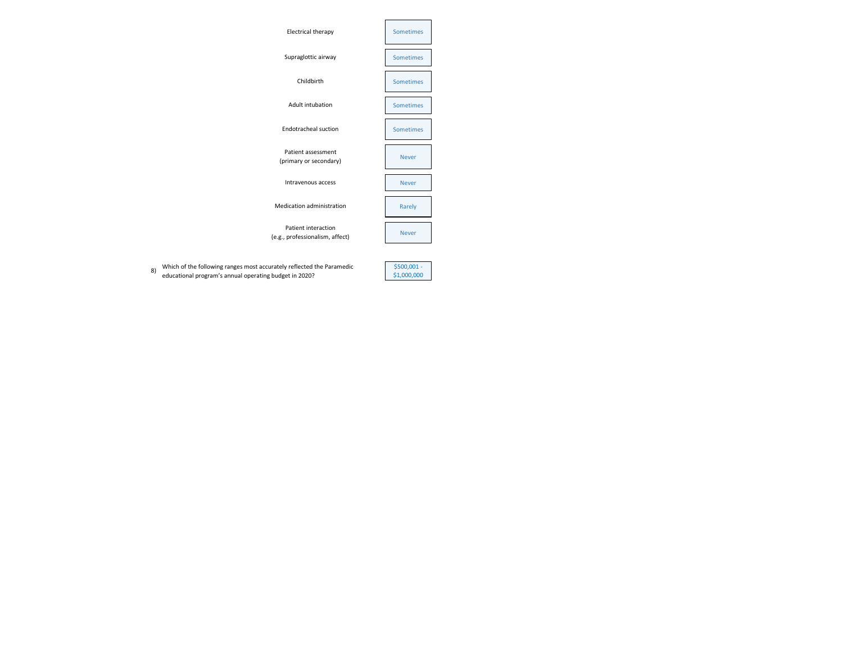

8) Which of the following ranges most accurately reflected the Paramedic \$500,001 educational program's annual operating budget in 2020?

\$1,000,000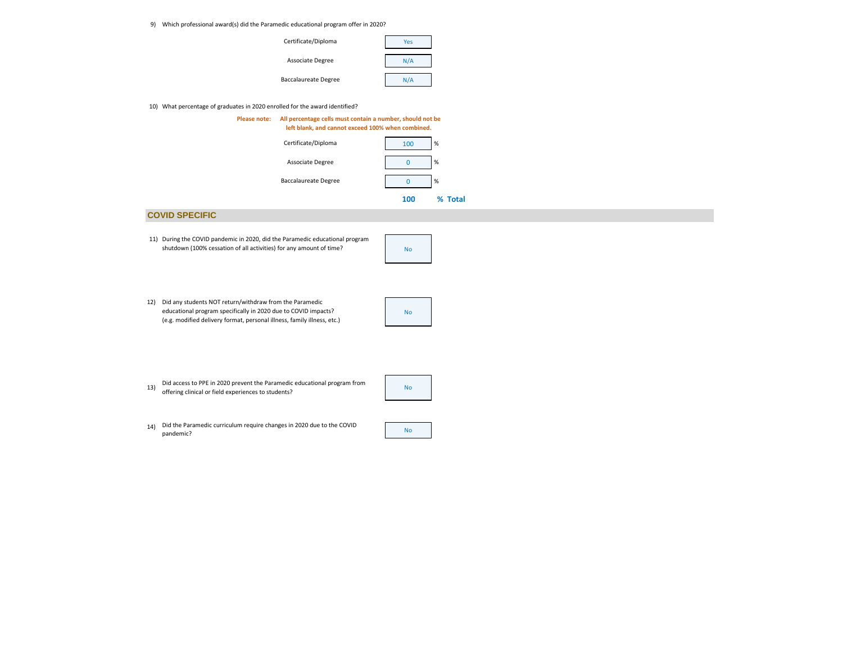9) Which professional award(s) did the Paramedic educational program offer in 2020?



#### 10) What percentage of graduates in 2020 enrolled for the award identified?



## **COVID SPECIFIC**

11) During the COVID pandemic in 2020, did the Paramedic educational program shutdown (100% cessation of all activities) for any amount of time?

| <b>No</b> |
|-----------|
|-----------|

12) Did any students NOT return/withdraw from the Paramedic educational program specifically in 2020 due to COVID impacts? (e.g. modified delivery format, personal illness, family illness, etc.)

| No |  |
|----|--|
|    |  |

13) The create that the model procedure to students?<br>
offering clinical or field experiences to students? Did access to PPE in 2020 prevent the Paramedic educational program from

| No |  |
|----|--|
|    |  |

14) Did the Paramedic curriculum require changes in 2020 due to the COVID<br>nandomie? pandemic?